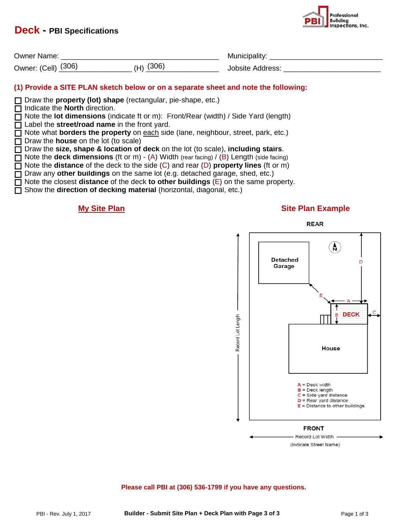# **Deck - PBI Specifications**



| <b>Owner Name:</b>        |     | 1II l                      |
|---------------------------|-----|----------------------------|
| (306)<br>(Cell)<br>Owner: | ാറല | $1$ dr $\rho$ cc<br>nhsite |

# **(1) Provide a SITE PLAN sketch below or on a separate sheet and note the following:**

Draw the **property (lot) shape** (rectangular, pie-shape, etc.)

□ Indicate the **North** direction.

Note the **lot dimensions** (indicate ft or m): Front/Rear (width) / Side Yard (length)

Label the **street/road name** in the front yard.

□ Note what **borders the property** on **each** side (lane, neighbour, street, park, etc.) □ Draw the **house** on the lot (to scale)

Draw the **size, shape & location of deck** on the lot (to scale), **including stairs**.

□ Note the **deck dimensions** (ft or m) - (A) Width (rear facing) / (B) Length (side facing)

Note the **distance** of the deck to the side (C) and rear (D) **property lines** (ft or m)

□ Draw any **other buildings** on the same lot (e.g. detached garage, shed, etc.)

Note the closest **distance** of the deck **to other buildings** (E) on the same property.

Show the **direction of decking material** (horizontal, diagonal, etc.)

### **My Site Plan Music Plan Example**





(Indicate Street Name)

**Please call PBI at (306) 536-1799 if you have any questions.**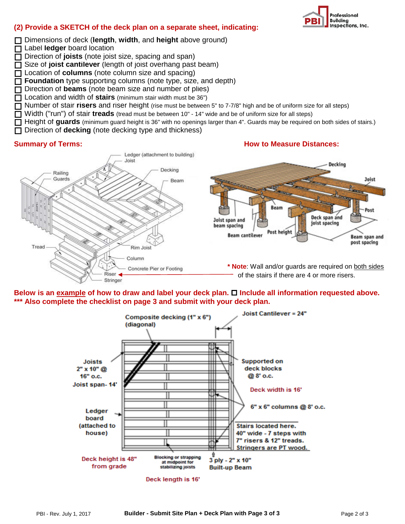

# **(2) Provide a SKETCH of the deck plan on a separate sheet, indicating:**

Dimensions of deck (**length**, **width**, and **height** above ground)

□ Label **ledger** board location Direction of **joists** (note joist size, spacing and span)

□ Size of **joist cantilever** (length of joist overhang past beam)

□ Location of **columns** (note column size and spacing)

**Foundation** type supporting columns (note type, size, and depth)

□ Direction of **beams** (note beam size and number of plies)

Location and width of **stairs** (minimum stair width must be 36")

Number of stair **risers** and riser height (rise must be between 5" to 7-7/8" high and be of uniform size for all steps)

Width ("run") of stair **treads** (tread must be between 10" - 14" wide and be of uniform size for all steps)

□ Height of guards (minimum guard height is 36" with no openings larger than 4". Guards may be required on both sides of stairs.)<br>□ Direction of decking (note decking type and thickness)

Direction of **decking** (note decking type and thickness)





Below is an example of how to draw and label your deck plan.  $\Box$  Include all information requested above. **\*\*\* Also complete the checklist on page 3 and submit with your deck plan.**